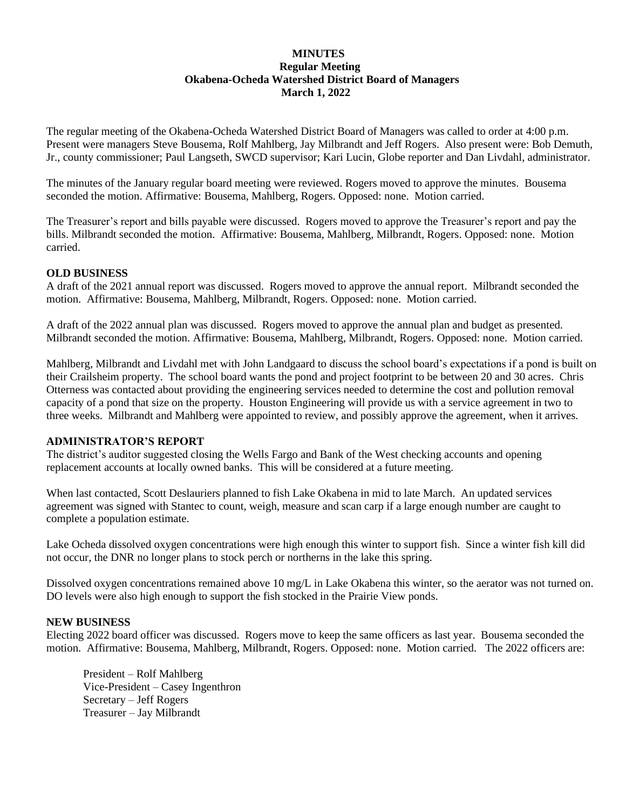# **MINUTES Regular Meeting Okabena-Ocheda Watershed District Board of Managers March 1, 2022**

The regular meeting of the Okabena-Ocheda Watershed District Board of Managers was called to order at 4:00 p.m. Present were managers Steve Bousema, Rolf Mahlberg, Jay Milbrandt and Jeff Rogers. Also present were: Bob Demuth, Jr., county commissioner; Paul Langseth, SWCD supervisor; Kari Lucin, Globe reporter and Dan Livdahl, administrator.

The minutes of the January regular board meeting were reviewed. Rogers moved to approve the minutes. Bousema seconded the motion. Affirmative: Bousema, Mahlberg, Rogers. Opposed: none. Motion carried.

The Treasurer's report and bills payable were discussed. Rogers moved to approve the Treasurer's report and pay the bills. Milbrandt seconded the motion. Affirmative: Bousema, Mahlberg, Milbrandt, Rogers. Opposed: none. Motion carried.

## **OLD BUSINESS**

A draft of the 2021 annual report was discussed. Rogers moved to approve the annual report. Milbrandt seconded the motion. Affirmative: Bousema, Mahlberg, Milbrandt, Rogers. Opposed: none. Motion carried.

A draft of the 2022 annual plan was discussed. Rogers moved to approve the annual plan and budget as presented. Milbrandt seconded the motion. Affirmative: Bousema, Mahlberg, Milbrandt, Rogers. Opposed: none. Motion carried.

Mahlberg, Milbrandt and Livdahl met with John Landgaard to discuss the school board's expectations if a pond is built on their Crailsheim property. The school board wants the pond and project footprint to be between 20 and 30 acres. Chris Otterness was contacted about providing the engineering services needed to determine the cost and pollution removal capacity of a pond that size on the property. Houston Engineering will provide us with a service agreement in two to three weeks. Milbrandt and Mahlberg were appointed to review, and possibly approve the agreement, when it arrives.

## **ADMINISTRATOR'S REPORT**

The district's auditor suggested closing the Wells Fargo and Bank of the West checking accounts and opening replacement accounts at locally owned banks. This will be considered at a future meeting.

When last contacted, Scott Deslauriers planned to fish Lake Okabena in mid to late March. An updated services agreement was signed with Stantec to count, weigh, measure and scan carp if a large enough number are caught to complete a population estimate.

Lake Ocheda dissolved oxygen concentrations were high enough this winter to support fish. Since a winter fish kill did not occur, the DNR no longer plans to stock perch or northerns in the lake this spring.

Dissolved oxygen concentrations remained above 10 mg/L in Lake Okabena this winter, so the aerator was not turned on. DO levels were also high enough to support the fish stocked in the Prairie View ponds.

## **NEW BUSINESS**

Electing 2022 board officer was discussed. Rogers move to keep the same officers as last year. Bousema seconded the motion. Affirmative: Bousema, Mahlberg, Milbrandt, Rogers. Opposed: none. Motion carried. The 2022 officers are:

President – Rolf Mahlberg Vice-President – Casey Ingenthron Secretary – Jeff Rogers Treasurer – Jay Milbrandt